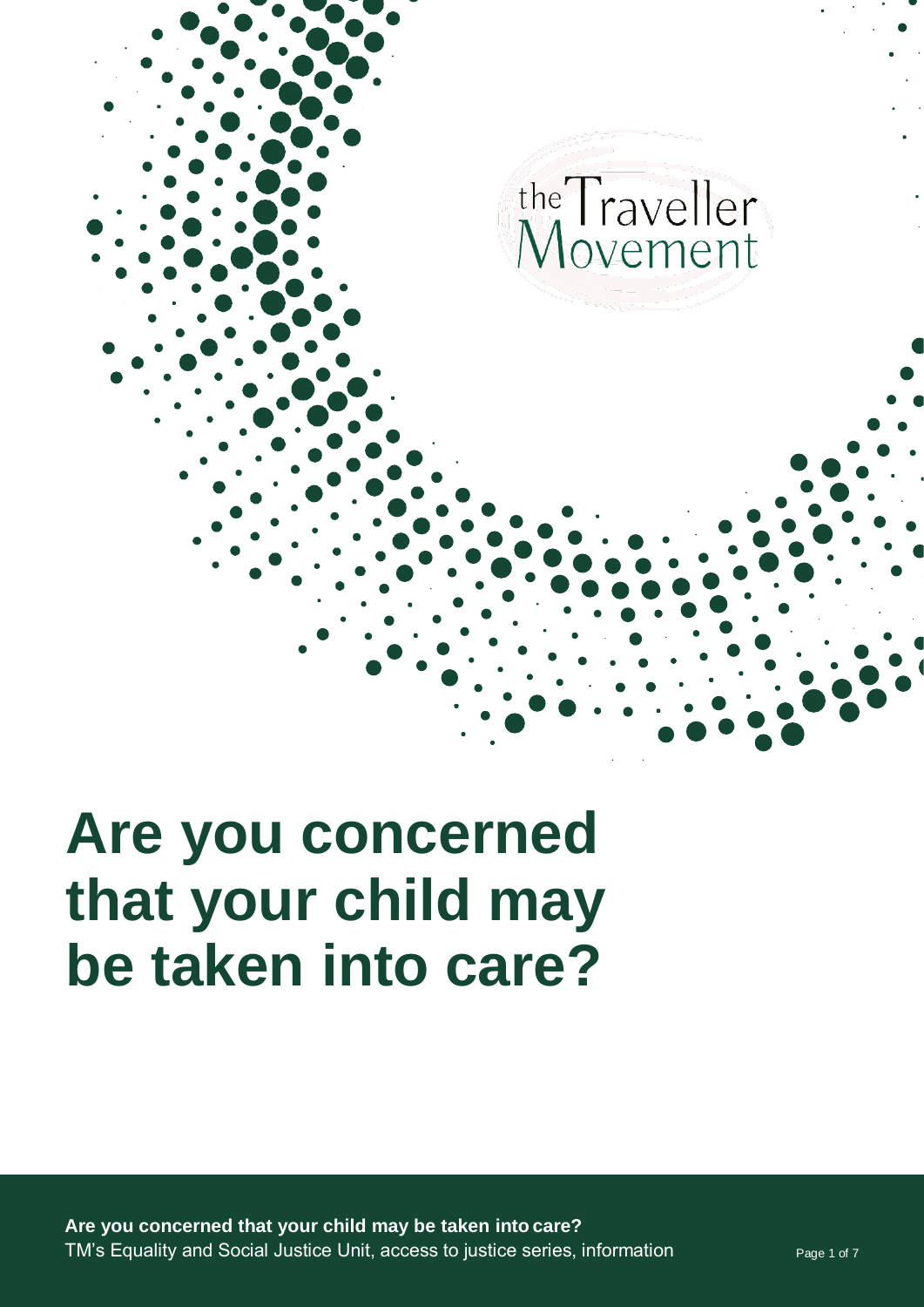

# **Are you concerned that your child may be taken into care?**

**Are you concerned that your child may be taken into care?** TM's Equality and Social Justice Unit, access to justice series, information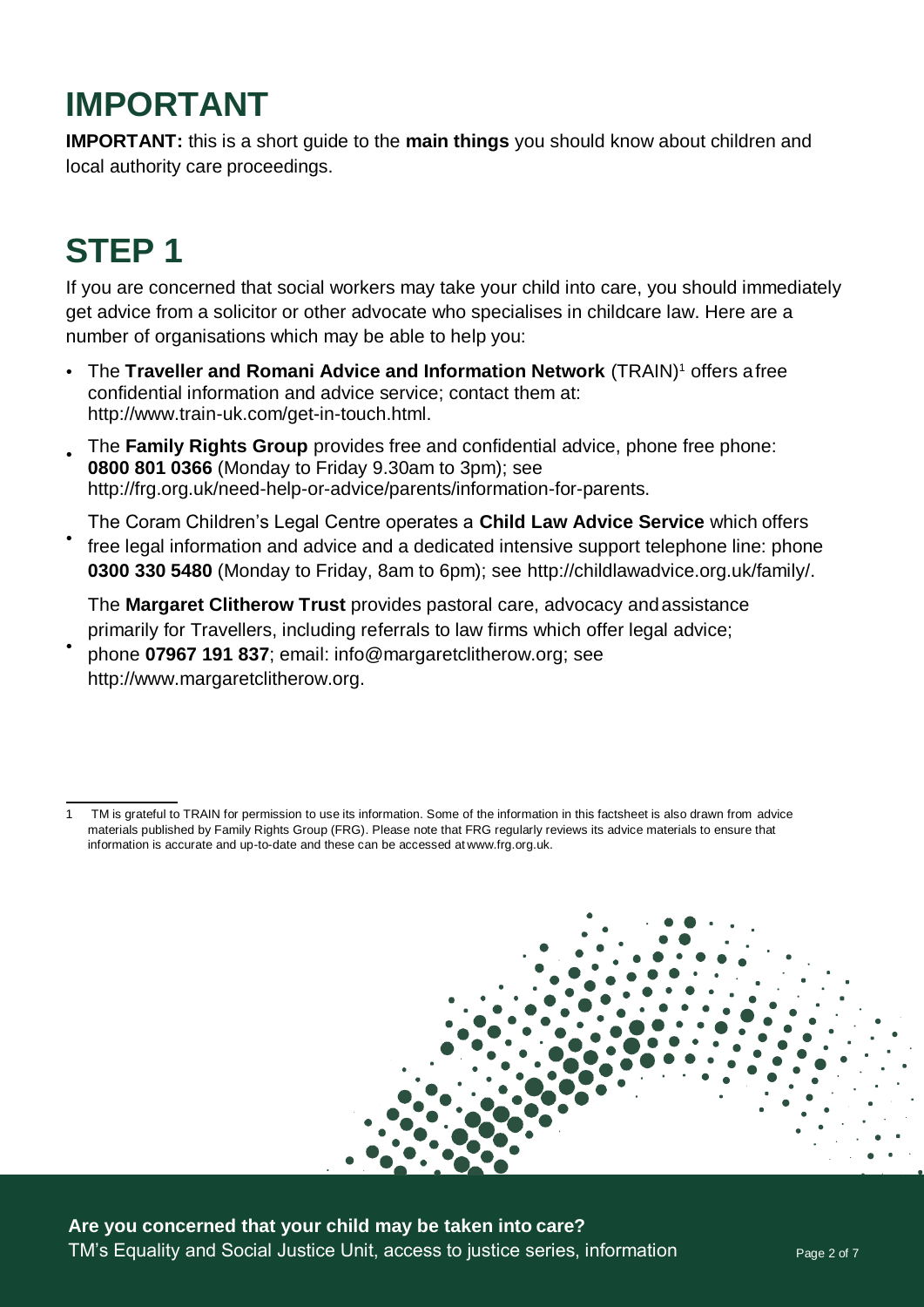### **IMPORTANT**

**IMPORTANT:** this is a short guide to the **main things** you should know about children and local authority care proceedings.

# **STEP 1**

If you are concerned that social workers may take your child into care, you should immediately get advice from a solicitor or other advocate who specialises in childcare law. Here are a number of organisations which may be able to help you:

- The **Traveller and Romani Advice and Information Network** (TRAIN)<sup>1</sup> offers afree confidential information and advice service; contact them at: [http://www.train-uk.com/get-in-touch.html.](http://www.train-uk.com/get-in-touch.html)
- The **Family Rights Group** provides free and confidential advice, phone free phone: **0800 801 0366** (Monday to Friday 9.30am to 3pm); see [http://frg.org.uk/need-help-or-advice/parents/information-for-parents.](http://frg.org.uk/need-help-or-advice/parents/information-for-parents) •
- The Coram Children's Legal Centre operates a **Child Law Advice Service** which offers free legal information and advice and a dedicated intensive support telephone line: phone **0300 330 5480** (Monday to Friday, 8am to 6pm); see [http://childlawadvice.org.uk/family/.](http://childlawadvice.org.uk/family/) •

The **Margaret Clitherow Trust** provides pastoral care, advocacy andassistance primarily for Travellers, including referrals to law firms which offer legal advice;

phone **07967 191 837**; email: info@margaretclitherow.org; see [http://www.margaretclitherow.org.](http://www.margaretclitherow.org/) •

<sup>1</sup> TM is grateful to TRAIN for permission to use its information. Some of the information in this factsheet is also drawn from advice materials published by Family Rights Group (FRG). Please note that FRG regularly reviews its advice materials to ensure that information is accurate and up-to-date and these can be accessed at [www.frg.org.uk.](http://www.frg.org.uk/)



**Are you concerned that your child may be taken into care?** TM's Equality and Social Justice Unit, access to justice series, information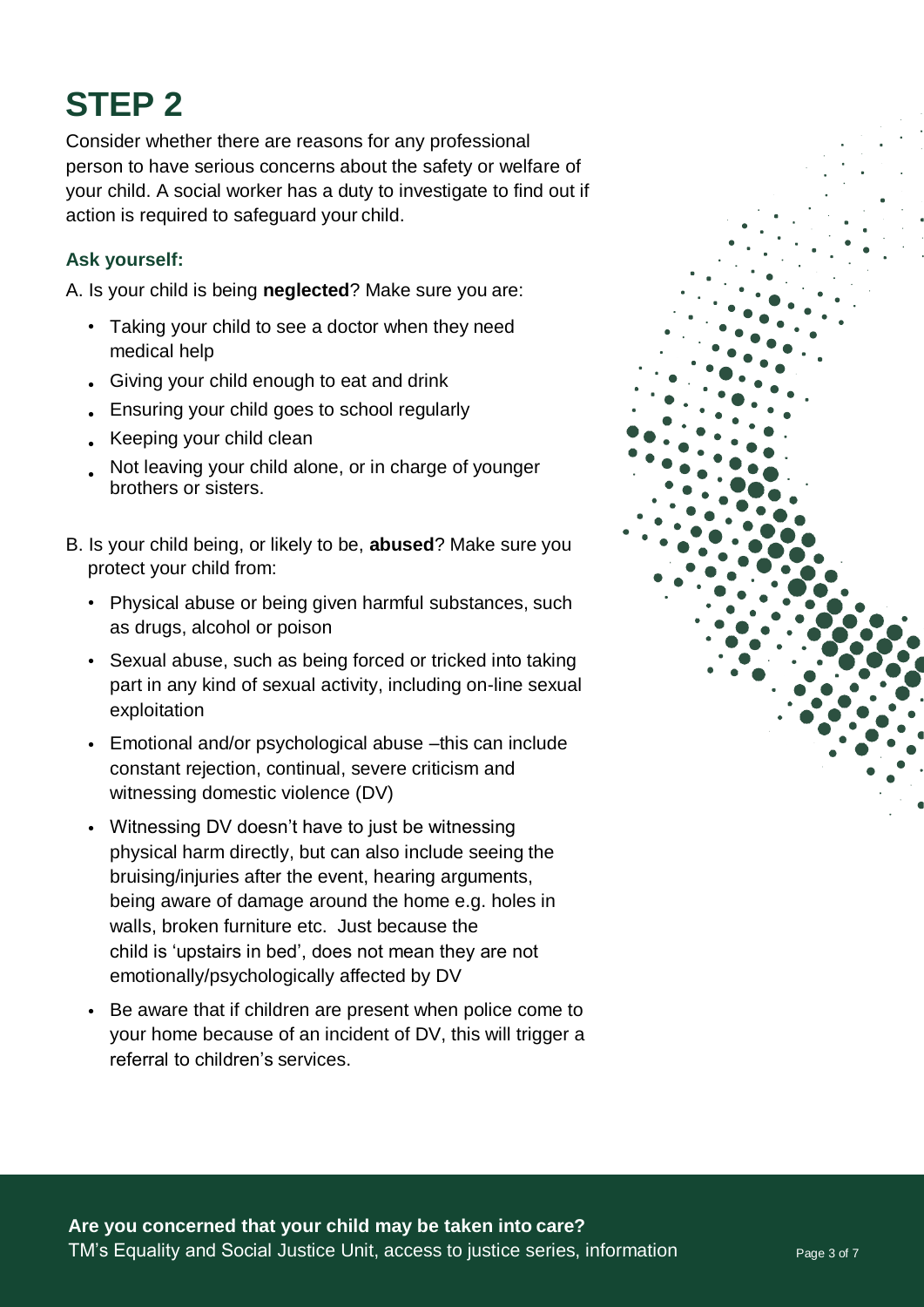# **STEP 2**

Consider whether there are reasons for any professional person to have serious concerns about the safety or welfare of your child. A social worker has a duty to investigate to find out if action is required to safeguard your child.

#### **Ask yourself:**

A. Is your child is being **neglected**? Make sure you are:

- Taking your child to see a doctor when they need medical help
- Giving your child enough to eat and drink •
- Ensuring your child goes to school regularly •
- Keeping your child clean
- Not leaving your child alone, or in charge of younger brothers or sisters. •
- B. Is your child being, or likely to be, **abused**? Make sure you protect your child from:
	- Physical abuse or being given harmful substances, such as drugs, alcohol or poison
	- Sexual abuse, such as being forced or tricked into taking part in any kind of sexual activity, including on-line sexual exploitation
	- Emotional and/or psychological abuse -this can include constant rejection, continual, severe criticism and witnessing domestic violence (DV)
	- Witnessing DV doesn't have to just be witnessing physical harm directly, but can also include seeing the bruising/injuries after the event, hearing arguments, being aware of damage around the home e.g. holes in walls, broken furniture etc. Just because the child is 'upstairs in bed', does not mean they are not emotionally/psychologically affected by DV
	- Be aware that if children are present when police come to your home because of an incident of DV, this will trigger a referral to children's services.

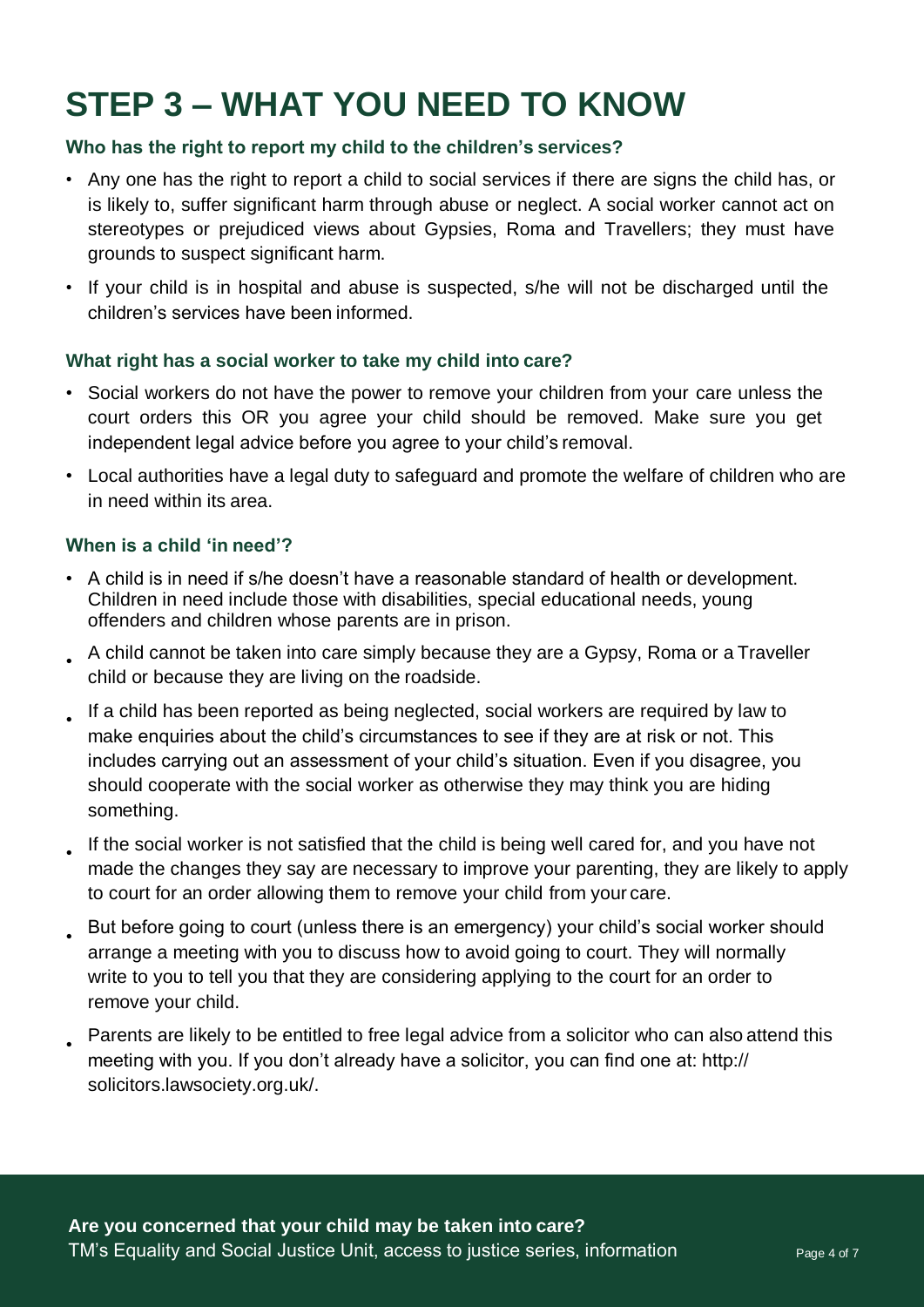# **STEP 3 – WHAT YOU NEED TO KNOW**

#### **Who has the right to report my child to the children's services?**

- Any one has the right to report a child to social services if there are signs the child has, or is likely to, suffer significant harm through abuse or neglect. A social worker cannot act on stereotypes or prejudiced views about Gypsies, Roma and Travellers; they must have grounds to suspect significant harm.
- If your child is in hospital and abuse is suspected, s/he will not be discharged until the children's services have been informed.

#### **What right has a social worker to take my child into care?**

- Social workers do not have the power to remove your children from your care unless the court orders this OR you agree your child should be removed. Make sure you get independent legal advice before you agree to your child's removal.
- Local authorities have a legal duty to safeguard and promote the welfare of children who are in need within its area.

#### **When is a child 'in need'?**

- A child is in need if s/he doesn't have a reasonable standard of health or development. Children in need include those with disabilities, special educational needs, young offenders and children whose parents are in prison.
- A child cannot be taken into care simply because they are a Gypsy, Roma or a Traveller child or because they are living on the roadside.
- If a child has been reported as being neglected, social workers are required by law to  $\overline{\phantom{a}}$ make enquiries about the child's circumstances to see if they are at risk or not. This includes carrying out an assessment of your child's situation. Even if you disagree, you should cooperate with the social worker as otherwise they may think you are hiding something.
- If the social worker is not satisfied that the child is being well cared for, and you have not made the changes they say are necessary to improve your parenting, they are likely to apply to court for an order allowing them to remove your child from your care. •
- But before going to court (unless there is an emergency) your child's social worker should arrange a meeting with you to discuss how to avoid going to court. They will normally write to you to tell you that they are considering applying to the court for an order to remove your child. •
- Parents are likely to be entitled to free legal advice from a solicitor who can also attend this meeting with you. If you don't already have a solicitor, you can find one at: http:// solicitors.lawsociety.org.uk/. •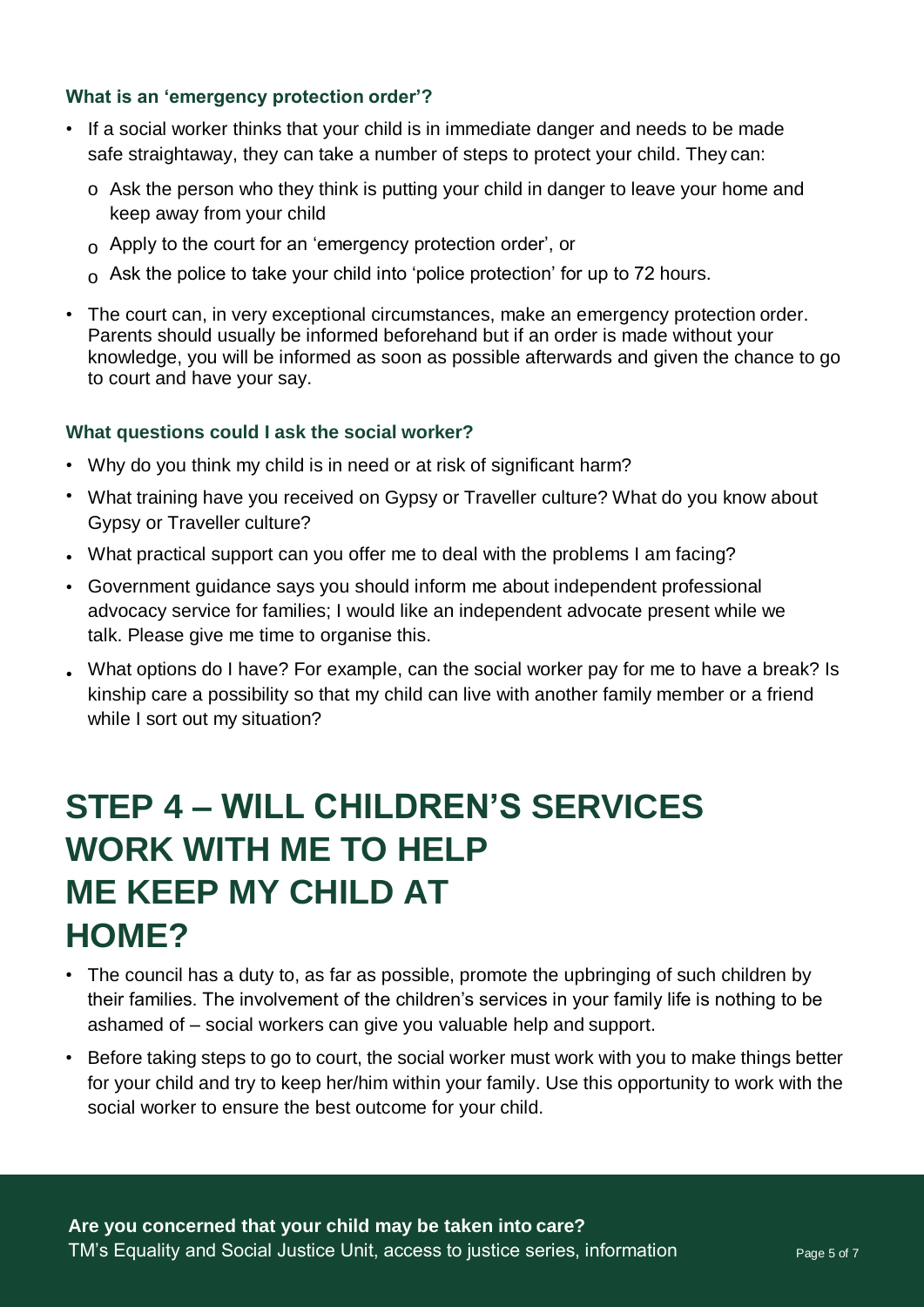#### **What is an 'emergency protection order'?**

- If a social worker thinks that your child is in immediate danger and needs to be made safe straightaway, they can take a number of steps to protect your child. They can:
	- o Ask the person who they think is putting your child in danger to leave your home and keep away from your child
	- $_{\rm O}$  Apply to the court for an 'emergency protection order', or
	- $_{\rm O}$  Ask the police to take your child into 'police protection' for up to 72 hours.
- The court can, in very exceptional circumstances, make an emergency protection order. Parents should usually be informed beforehand but if an order is made without your knowledge, you will be informed as soon as possible afterwards and given the chance to go to court and have your say.

#### **What questions could I ask the social worker?**

- Why do you think my child is in need or at risk of significant harm?
- What training have you received on Gypsy or Traveller culture? What do you know about Gypsy or Traveller culture?
- What practical support can you offer me to deal with the problems I am facing? •
- Government guidance says you should inform me about independent professional advocacy service for families; I would like an independent advocate present while we talk. Please give me time to organise this.
- What options do I have? For example, can the social worker pay for me to have a break? Is kinship care a possibility so that my child can live with another family member or a friend while I sort out my situation?

### **STEP 4 – WILL CHILDREN'S SERVICES WORK WITH ME TO HELP ME KEEP MY CHILD AT HOME?**

- The council has a duty to, as far as possible, promote the upbringing of such children by their families. The involvement of the children's services in your family life is nothing to be ashamed of – social workers can give you valuable help and support.
- Before taking steps to go to court, the social worker must work with you to make things better for your child and try to keep her/him within your family. Use this opportunity to work with the social worker to ensure the best outcome for your child.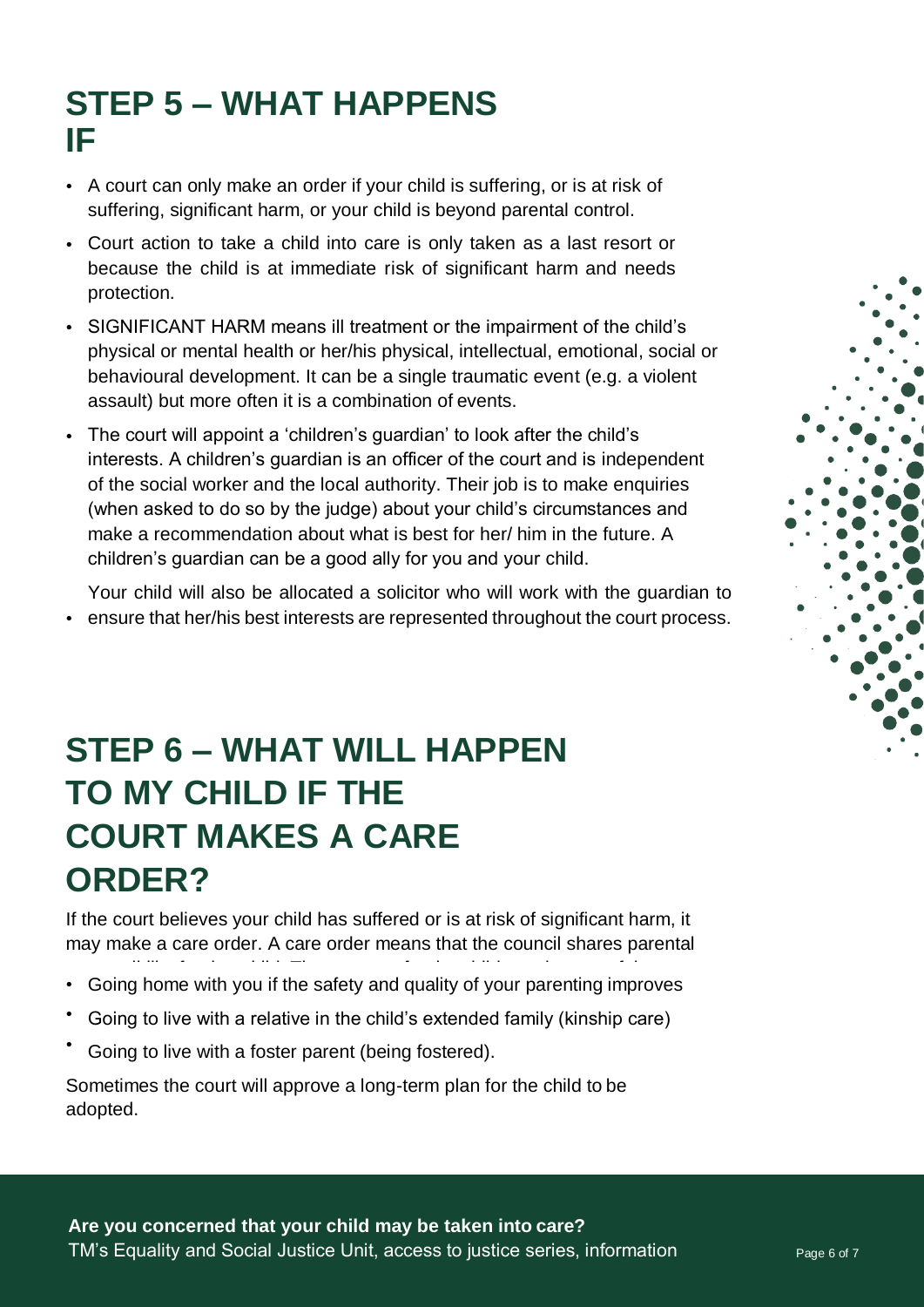### **STEP 5 – WHAT HAPPENS IF**

- **A** court can only make an order if your child is suffering, or is at risk of suffering, significant harm, or your child is beyond parental control.
- Court action to take a child into care is only taken as a last resort or because the child is at immediate risk of significant harm and needs protection.
- SIGNIFICANT HARM means ill treatment or the impairment of the child's physical or mental health or her/his physical, intellectual, emotional, social or behavioural development. It can be a single traumatic event (e.g. a violent assault) but more often it is a combination of events.
- The court will appoint a 'children's guardian' to look after the child's interests. A children's guardian is an officer of the court and is independent of the social worker and the local authority. Their job is to make enquiries (when asked to do so by the judge) about your child's circumstances and make a recommendation about what is best for her/ him in the future. A children's guardian can be a good ally for you and your child.

Your child will also be allocated a solicitor who will work with the guardian to • ensure that her/his best interests are represented throughout the court process.

# **STEP 6 – WHAT WILL HAPPEN TO MY CHILD IF THE COURT MAKES A CARE ORDER?**

If the court believes your child has suffered or is at risk of significant harm, it may make a care order. A care order means that the council shares parental

- responsibility for that child. The outcome for the child may be one of the • Going home with you if the safety and quality of your parenting improves
- Going to live with a relative in the child's extended family (kinship care)
- Going to live with a foster parent (being fostered).

Sometimes the court will approve a long-term plan for the child to be adopted.